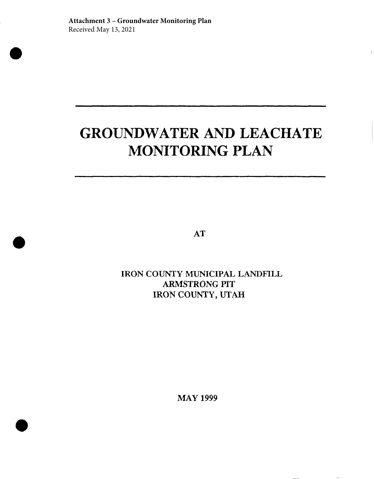# **GROUNDWATER AND LEACHATE MONITORING PLAN**

AT

IRON COUNTY MUNICIPAL LANDHLL ARMSTRONG PIT IRON COUNTY, UTAH

MAY 1999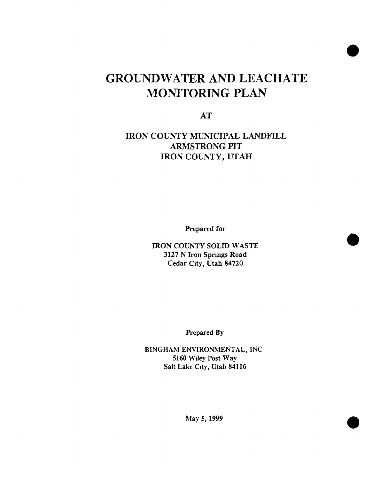## **GROUNDWATER AND LEACHATE MONITORING PLAN**

AT

IRON COUNTY MUMCIPAL LANDFILL ARMSTRONG PIT IRON COUNTY, UTAH

Prepared for

IRON COUNTY SOLID WASTE 3127 N Iron Sprmgs Road Cedar City, Utah 84720

Prepared By

BINGHAM ENVIRONMENTAL, INC 5160 Wiley Post Way Salt Lake City, Utah 84116

May 5, 1999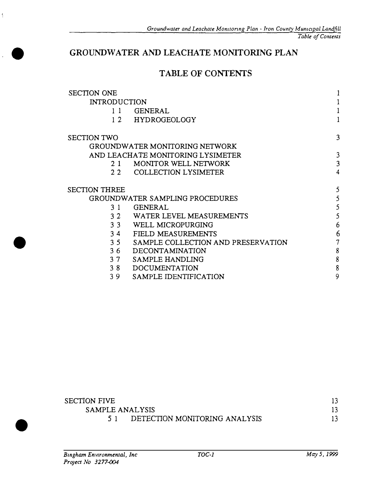#### **GROUNDWATER AND LEACHATE MONITORING PLAN**

#### **TABLE OF CONTENTS**

| <b>SECTION ONE</b>   |                                    |   |
|----------------------|------------------------------------|---|
| <b>INTRODUCTION</b>  |                                    |   |
| 11                   | <b>GENERAL</b>                     |   |
| 12                   | <b>HYDROGEOLOGY</b>                |   |
| <b>SECTION TWO</b>   |                                    | 3 |
|                      | GROUNDWATER MONITORING NETWORK     |   |
|                      | AND LEACHATE MONITORING LYSIMETER  | 3 |
| 2.1                  | MONITOR WELL NETWORK               | 3 |
| 22                   | <b>COLLECTION LYSIMETER</b>        | 4 |
| <b>SECTION THREE</b> |                                    | 5 |
|                      | GROUNDWATER SAMPLING PROCEDURES    | 5 |
| 31                   | <b>GENERAL</b>                     | 5 |
| 32                   | WATER LEVEL MEASUREMENTS           | 5 |
| 3 <sub>3</sub>       | WELL MICROPURGING                  | 6 |
| 34                   | FIELD MEASUREMENTS                 | 6 |
| 3 <sub>5</sub>       | SAMPLE COLLECTION AND PRESERVATION | 7 |
| 36                   | <b>DECONTAMINATION</b>             | 8 |
| 37                   | SAMPLE HANDLING                    | 8 |
| 38                   | <b>DOCUMENTATION</b>               | 8 |
| 39                   | SAMPLE IDENTIFICATION              | 9 |

| <b>SECTION FIVE</b> |                               |  |
|---------------------|-------------------------------|--|
| SAMPLE ANALYSIS     |                               |  |
|                     | DETECTION MONITORING ANALYSIS |  |

•

 $\frac{1}{4}$ 

•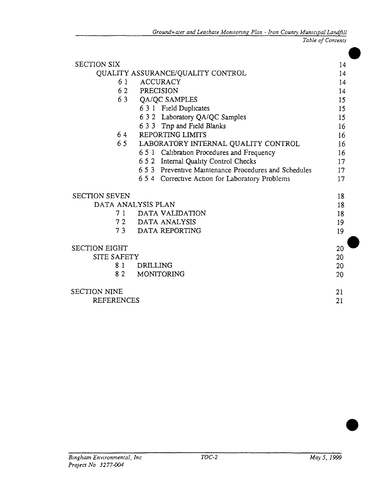| <b>SECTION SIX</b>   |                                                       | 14 |
|----------------------|-------------------------------------------------------|----|
|                      | QUALITY ASSURANCE/QUALITY CONTROL                     | 14 |
| 6 1                  | <b>ACCURACY</b>                                       | 14 |
|                      | 62 PRECISION                                          | 14 |
| 63                   | QA/QC SAMPLES                                         | 15 |
|                      | 6 3 1 Field Duplicates                                | 15 |
|                      | 6 3 2 Laboratory QA/QC Samples                        | 15 |
|                      | 6 3 3 Trip and Field Blanks                           | 16 |
| 64                   | REPORTING LIMITS                                      | 16 |
|                      | 65 LABORATORY INTERNAL QUALITY CONTROL                | 16 |
|                      | 6 5 1 Calibration Procedures and Frequency            | 16 |
|                      | 6 5 2 Internal Quality Control Checks                 | 17 |
|                      | 6.5.3 Preventive Maintenance Procedures and Schedules | 17 |
|                      | 6 5 4 Corrective Action for Laboratory Problems       | 17 |
| <b>SECTION SEVEN</b> |                                                       | 18 |
|                      | DATA ANALYSIS PLAN                                    | 18 |
|                      | 7 1 DATA VALIDATION                                   | 18 |
|                      | 72 DATA ANALYSIS                                      | 19 |
|                      | 73 DATA REPORTING                                     | 19 |
| <b>SECTION EIGHT</b> |                                                       | 20 |
| <b>SITE SAFETY</b>   |                                                       | 20 |
| 8 1                  | DRILLING                                              | 20 |
| 82                   | MONITORING                                            | 20 |
| <b>SECTION NINE</b>  |                                                       | 21 |
| <b>REFERENCES</b>    |                                                       | 21 |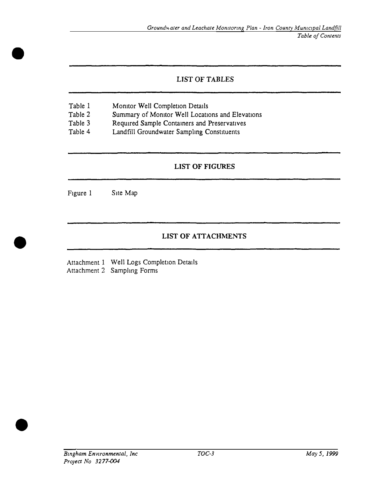#### LIST OF *TABLES*

- Table 1 Monitor Well Completion Details
- Table 2 Summary of Monitor Well Locations and Elevations
- Table 3 Required Sample Containers and Preservatives
- Table 4 Landfill Groundwater Samplmg Constituents

#### **LIST OF FIGURES**

Figure 1 Site Map

•

•

•

#### **LIST OF ATTACHMENTS**

Attachment 1 Well Logs Completion Details Attachment 2 Sampling Forms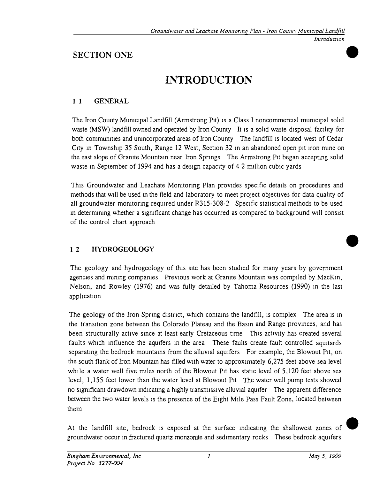•

•

### **SECTION ONE**

## **INTRODUCTION**

#### **11 GENERAL**

The Iron County Municipal Landfill (Armstrong Pit) is a Class I noncommercial municipal solid waste (MSW) landfill owned and operated by Iron County It is a solid waste disposal facility for both communities and unincorporated areas of Iron County The landfill is located west of Cedar City m Township 35 South, Range 12 West, Section 32 m an abandoned open pit iron mme on the east slope of Granite Mountam near Iron Sprmgs The Armstrong Pit began acceptmg sohd waste in September of 1994 and has a design capacity of 4.2 million cubic yards

This Groundwater and Leachate Momtormg Plan provides specific details on procedures and methods that will be used in the field and laboratory to meet project objectives for data quality of all groundwater monitoring required under R315-308-2 Specific statistical methods to be used m determmmg whether a s1gmficant change has occurred as compared to background will consist of the control chart approach

#### **1 2 HYDROGEOLOGY**

The geology and hydrogeology of this site has been studied for many years by government agencies and nunmg compames Previous work at Granite Mountam was compiled by MacKm, Nelson, and Rowley (1976) and was fully detailed by Tahoma Resources (1990) m the last apphcat1on

The geology of the Iron Spring district, which contains the landfill, is complex The area is in the transition zone between the Colorado Plateau and the Basin and Range provinces, and has been structurally active since at least early Cretaceous time This activity has created several faults which influence the aquifers in the area These faults create fault controlled aquitards separatmg the bedrock mountams from the alluvial aquifers For example, the Blowout Pit, on the south flank of Iron Mountam has filled with water to approximately 6,275 feet above sea level while a water well five miles north of the Blowout Pit has static level of 5,120 feet above sea level, 1,155 feet lower than the water level at Blowout Pit The water well pump tests showed no significant drawdown indicating a highly transmissive alluvial aquifer The apparent difference between the two water levels 1s the presence of the Eight Mile Pass Fault Zone, located between them

At the landfill site, bedrock is exposed at the surface indicating the shallowest zones of groundwater occur in fractured quartz monzonite and sedimentary rocks These bedrock aquifers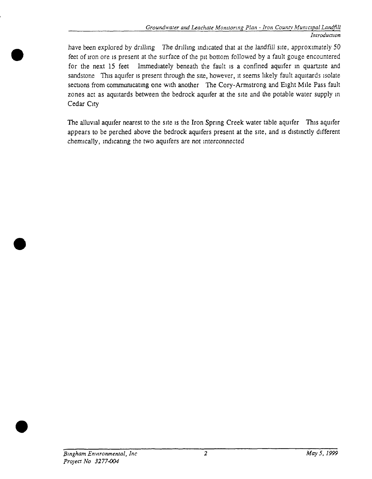have been explored by drilling The drilling indicated that at the landfill site, approximately 50 feet of iron ore is present at the surface of the pit bottom followed by a fault gouge encountered for the next 15 feet Immediately beneath the fault is a confined aquifer in quartzite and sandstone This aquifer is present through the site, however, it seems likely fault aquitards isolate sections from communicating one with another The Cory-Armstrong and Eight Mile Pass fault zones act as aquitards between the bedrock aquifer at the site and the potable water supply in Cedar City

The alluvial aquifer nearest to the site is the Iron Spring Creek water table aquifer This aquifer appears to be perched above the bedrock aquifers present at the site, and is distinctly different chemically, indicating the two aquifers are not interconnected

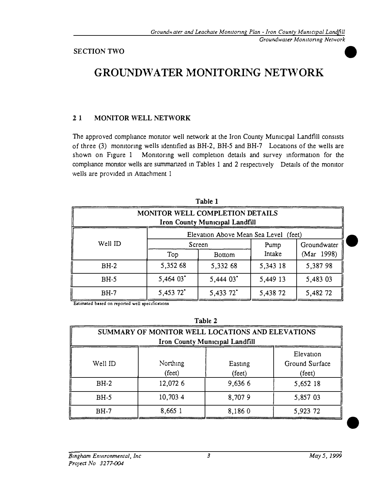## **GROUNDWATER MONITORING NETWORK**

#### **2 1 MONITOR WELL NETWORK**

The approved compliance monitor well network at the Iron County Municipal Landfill consists of three (3) monitoring wells identified as BH-2, BH-5 and BH-7 Locations of the wells are shown on Figure 1 Monitoring well completion details and survey information for the compliance monitor wells are summanzed in Tables 1 and 2 respectively Details of the monitor wells are provided m Attachment 1

| Table 1                                                           |          |               |          |             |
|-------------------------------------------------------------------|----------|---------------|----------|-------------|
| MONITOR WELL COMPLETION DETAILS<br>Iron County Municipal Landfill |          |               |          |             |
| Elevation Above Mean Sea Level (feet)                             |          |               |          |             |
| Well ID                                                           | Screen   |               | Pump     | Groundwater |
|                                                                   | Top      | <b>Bottom</b> | Intake   | (Mar 1998)  |
| $BH-2$                                                            | 5,352 68 | 5,332 68      | 5,343 18 | 5,387 98    |
| $BH-5$                                                            | 5,464 03 | 5,444 03*     | 5,449 13 | 5,483 03    |
| $BH-7$                                                            | 5,453 72 | 5,433 72      | 5,438 72 | 5,482 72    |

Estimated based on reported well specifications

| ٢. |  |
|----|--|
|----|--|

| SUMMARY OF MONITOR WELL LOCATIONS AND ELEVATIONS<br><b>Iron County Municipal Landfill</b> |                    |                   |                                                |
|-------------------------------------------------------------------------------------------|--------------------|-------------------|------------------------------------------------|
| Well ID                                                                                   | Northing<br>(feet) | Easting<br>(feet) | Elevation<br>Ground Surface<br>$(\text{feet})$ |
| $BH-2$                                                                                    | 12,072 6           | 9,636 6           | 5,652 18                                       |
| $BH-5$                                                                                    | 10,703 4           | 8,7079            | 5,857 03                                       |
| $BH-7$                                                                                    | 8,665 1            | 8,1860            | 5,923 72                                       |

•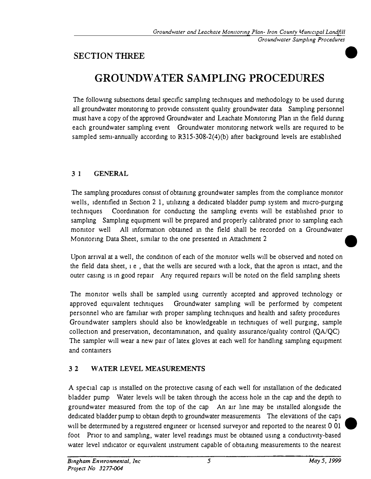#### **SECTION THREE**

## **GROUNDWATER SAMPLING PROCEDURES**

The following subsections detail specific sampling techniques and methodology to be used during all groundwater monitoring to provide consistent quality groundwater data Sampling personnel must have a copy of the approved Groundwater and Leachate Momtoring Plan m the field durmg each groundwater sampling event Groundwater monitoring network wells are required to be sampled semi-annually according to  $R315-308-2(4)(b)$  after background levels are established

#### **3 I GENERAL**

The sampling procedures consist of obtaining groundwater samples from the compliance monitor wells, identified in Section 2 1, utilizing a dedicated bladder pump system and micro-purging techniques Coordination for conducting the sampling events will be established prior to sampling Sampling equipment will be prepared and properly calibrated prior to sampling each monitor well All information obtained in the field shall be recorded on a Groundwater Monitoring Data Sheet, similar to the one presented in Attachment 2

Upon arrival at a well, the condition of each of the monitor wells will be observed and noted on the field data sheet, 1 e , that the wells are secured with a lock, that the apron 1s mtact, and the outer casing is in good repair Any required repairs will be noted on the field sampling sheets

The monitor wells shall be sampled using currently accepted and approved technology or approved equivalent techniques Groundwater samplmg will be performed by competent personnel who are fam1har with proper sampling techniques and health and safety procedures Groundwater samplers should also be knowledgeable m techniques of well purgmg, sample collection and preservation, decontamination, and quality assurance/quality control  $(QA/QC)$ The sampler will wear a new pair of latex gloves at each well for handling sampling equipment and containers

#### **3 2 WATER LEVEL MEASUREMENTS**

A special cap is installed on the protective casing of each well for installation of the dedicated bladder pump Water levels will be taken through the access hole m the cap and the depth to groundwater measured from the top of the cap An air line may be installed alongside the dedicated bladder pump to obtain depth to groundwater measurements The elevations of the caps will be determmed by a registered engmeer or hcensed surveyor and reported to the nearest O 01 foot Pnor to and sampling, water level readings must be obtamed usmg a conductivity-based water level indicator or equivalent instrument capable of obtaining measurements to the nearest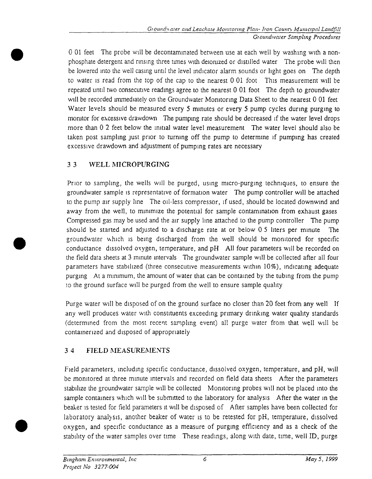0 01 feet The probe will be decontaminated between use at each well by washing with a nonphosphate detergent and rinsing three times with deiomzed or distilled water The probe will then be lowered into the well casmg until the level indicator alarm sounds or light goes on The depth to water is read from the top of the cap to the nearest 0 01 foot This measurement will be repeated until two consecutive readings agree to the nearest 0 01 foot The depth to groundwater will be recorded immediately on the Groundwater Monitoring Data Sheet to the nearest 0 01 feet Water levels should be measured every 5 minutes or every 5 pump cycles during purging to monitor for excessive drawdown The pumping rate should be decreased if the water level drops more than 0 2 feet below the initial water level measurement The water level should also be taken post sampling just prior to turning off the pump to determine if pumping has created excessive drawdown and adjustment of pumping rates are necessary

#### 3 3 WELL MICROPURGING

Prior to sampling, the wells will be purged, using micro-purging techniques, to ensure the groundwater sample is representative of formation water The pump controller will be attached to the pump air supply line The oil-Iess compressor, if used, should be located downwind and away from the well, to minimize the potential for sample contamination from exhaust gases Compressed gas may be used and the air supply line attached to the pump controller The pump should be started and adjusted to a discharge rate at or below 0 5 liters per minute The groundwater which is being discharged from the well should be monitored for specific conductance dissolved oxygen, temperature, and pH All four parameters will be recorded on the field data sheets at 3 minute intervals The groundwater sample will be collected after all four parameters have stabilized (three consecutive measurements within 10%), indicating adequate purging At a minimum, the amount of water that can be contained by the tubing from the pump to the ground surface will be purged from the well to ensure sample quality

Purge water will be disposed of on the ground surface no closer than 20 feet from any well If any well produces water with constituents exceeding primary drinking water quality standards (determined from the most recent sampling event) all purge water from that well will be containerized and disposed of appropriately

#### 3 4 FIELD MEASUREMENTS

Field parameters, including specific conductance, dissolved oxygen, temperature, and pH, will be monitored at three minute intervals and recorded on field data sheets After the parameters stabilize the groundwater sample will be collected Monitoring probes will not be placed into the sample containers which will be submitted to the laboratory for analysis After the water in the beaker is tested for field parameters it will be disposed of After samples have been collected for laboratory analysis, another beaker of water is to be retested for pH, temperature, dissolved oxygen, and specific conductance as a measure of purging efficiency and as a check of the stability of the water samples over time These readings, along with date, time, well ID, purge

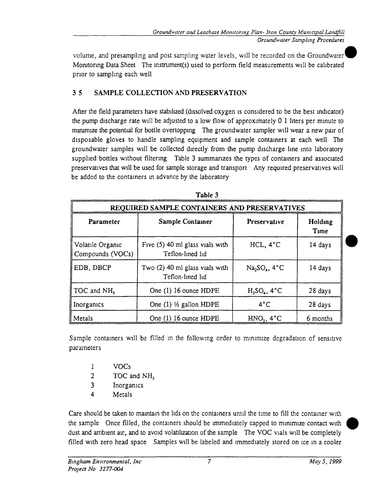volume, and presampling and post sampling water levels, will be recorded on the Groundwater^ Momtormg Data Sheet The mstrument(s) used to perform field measurements will be calibrated prior to sampling each well

#### **3 5 SAMPLE COLLECTION AND PRESERVATION**

After the field parameters have stabilized (dissolved oxygen is considered to be the best indicator) the pump discharge rate will be adjusted to a low flow of approximately 0 1 liters per minute to mmimize the potential for bottle overtopping The groundwater sampler will wear a new pair of disposable gloves to handle sampling equipment and sample containers at each well The groundwater samples will be collected directly from the pump discharge line into laboratory supplied bottles without filtering Table 3 summarizes the types of containers and associated preservatives that will be used for sample storage and transport Any required preservatives will be added to the containers m advance by the laboratory

| Tanic "<br>REQUIRED SAMPLE CONTAINERS AND PRESERVATIVES |                                                       |                 |                 |  |
|---------------------------------------------------------|-------------------------------------------------------|-----------------|-----------------|--|
| Parameter                                               | Sample Container                                      | Preservative    | Holding<br>Time |  |
| Volatile Organic<br>Compounds (VOCs)                    | Five $(5)$ 40 ml glass vials with<br>Teflon-lined lid | HCL, 4°C        | 14 days         |  |
| EDB, DBCP                                               | Two (2) 40 ml glass vials with<br>Teflon-lined lid    | $Na2SO4$ , 4°C  | 14 days         |  |
| TOC and $NH3$                                           | One (1) 16 ounce HDPE                                 | $H_2SO_4$ , 4°C | 28 days         |  |
| Inorganics                                              | One $(1)$ <sup>1</sup> / <sub>2</sub> gallon HDPE     | $4^{\circ}$ C   | 28 days         |  |
| Metals                                                  | One (1) 16 ounce HDPE                                 | $HNO3$ , 4 $°C$ | 6 months        |  |

| ı<br>ы | m |  |
|--------|---|--|
|        |   |  |

Sample containers will be filled m the following order to mimmize degradation of sensitive parameters

- 1 VOCs
- 2 TOC and NH<sub>3</sub>
- 3 Inorganics
- 4 Metals

Care should be taken to mamtam the lids on the containers until the time to fill the container with the sample Once filled, the containers should be immediately capped to minimize contact with dust and ambient air, and to avoid volatilization of the sample The VOC vials will be completely filled with zero head space Samples will be labeled and immediately stored on ice m a cooler

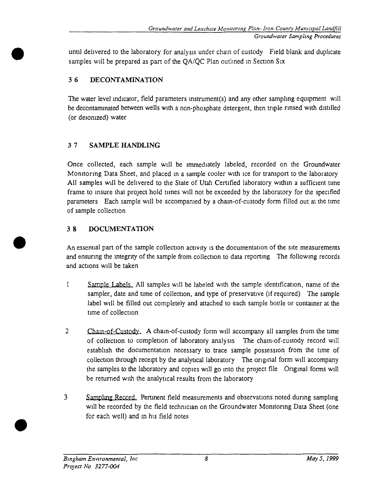until delivered to the laboratory for analysis under chain of custody Field blank and duplicate samples will be prepared as part of the QA/QC Plan outlined in Section Six

#### **3 6 DECONTAMINATION**

The water level mdicator, field parameters mstrument(s) and any other sampling equipment will be decontaminated between wells with a non-phosphate detergent, then triple rinsed with distilled (or deionized) water

#### **3 7 SAMPLE HANDLING**

Once collected, each sample will be immediately labeled, recorded on the Groundwater Monitoring Data Sheet, and placed in a sample cooler with ice for transport to the laboratory All samples will be delivered to the State of Utah Certified laboratory within a sufficient time frame to insure that project hold times will not be exceeded by the laboratory for the specified parameters Each sample will be accompanied by a chain-of-custody form filled out at the time of sample collection

#### **3 8 DOCUMENTATION**

An essential part of the sample collection activity is the documentation of the site measurements and ensuring the mtegnty of the sample from collection to data reporting The following records and actions will be taken

- 1 Sample Labels. All samples will be labeled with the sample identification, name of the sampler, date and time of collection, and type of preservative (if required) The sample label will be filled out completely and attached to each sample bottle or contamer at the time of collection
- 2 Chain-of-Custody. A chain-of-custody form will accompany all samples from the time of collection to completion of laboratory analysis The cham-of-custody record will establish the documentation necessary to trace sample possession from the time of collection through receipt by the analytical laboratory The original form will accompany the samples to the laboratory and copies will go into the project file Original forms will be retumed with the analytical results from the laboratory
- 3 Sampling Record. Pertinent field measurements and observations noted during sampling will be recorded by the field technician on the Groundwater Monitonng Data Sheet (one for each well) and in his field notes